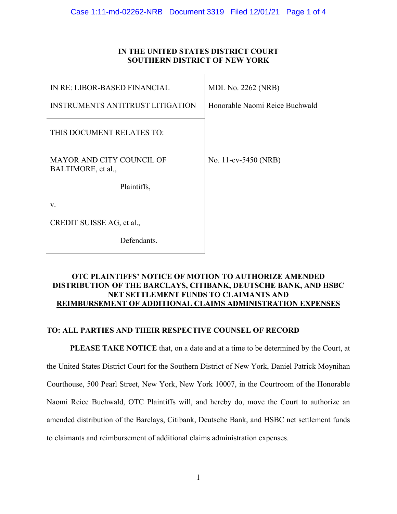# **IN THE UNITED STATES DISTRICT COURT SOUTHERN DISTRICT OF NEW YORK**

| <b>IN RE: LIBOR-BASED FINANCIAL</b>                    | <b>MDL No. 2262 (NRB)</b>      |
|--------------------------------------------------------|--------------------------------|
| <b>INSTRUMENTS ANTITRUST LITIGATION</b>                | Honorable Naomi Reice Buchwald |
| THIS DOCUMENT RELATES TO:                              |                                |
| <b>MAYOR AND CITY COUNCIL OF</b><br>BALTIMORE, et al., | No. 11-cv-5450 (NRB)           |
| Plaintiffs,                                            |                                |
| V.                                                     |                                |
| CREDIT SUISSE AG, et al.,                              |                                |
| Defendants.                                            |                                |

### **OTC PLAINTIFFS' NOTICE OF MOTION TO AUTHORIZE AMENDED DISTRIBUTION OF THE BARCLAYS, CITIBANK, DEUTSCHE BANK, AND HSBC NET SETTLEMENT FUNDS TO CLAIMANTS AND REIMBURSEMENT OF ADDITIONAL CLAIMS ADMINISTRATION EXPENSES**

# **TO: ALL PARTIES AND THEIR RESPECTIVE COUNSEL OF RECORD**

**PLEASE TAKE NOTICE** that, on a date and at a time to be determined by the Court, at the United States District Court for the Southern District of New York, Daniel Patrick Moynihan Courthouse, 500 Pearl Street, New York, New York 10007, in the Courtroom of the Honorable Naomi Reice Buchwald, OTC Plaintiffs will, and hereby do, move the Court to authorize an amended distribution of the Barclays, Citibank, Deutsche Bank, and HSBC net settlement funds to claimants and reimbursement of additional claims administration expenses.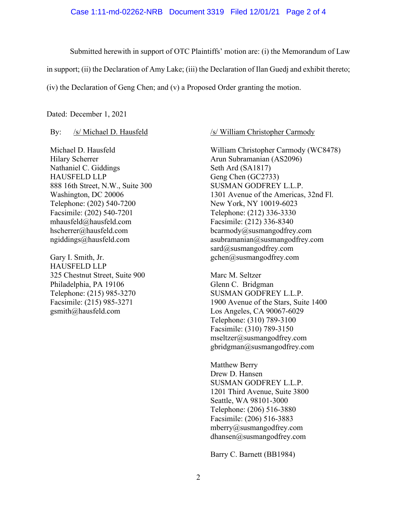Submitted herewith in support of OTC Plaintiffs' motion are: (i) the Memorandum of Law

in support; (ii) the Declaration of Amy Lake; (iii) the Declaration of Ilan Guedj and exhibit thereto;

(iv) the Declaration of Geng Chen; and (v) a Proposed Order granting the motion.

Dated: December 1, 2021

#### By: /s/ Michael D. Hausfeld

Michael D. Hausfeld Hilary Scherrer Nathaniel C. Giddings HAUSFELD LLP 888 16th Street, N.W., Suite 300 Washington, DC 20006 Telephone: (202) 540-7200 Facsimile: (202) 540-7201 mhausfeld@hausfeld.com hscherrer@hausfeld.com ngiddings@hausfeld.com

Gary I. Smith, Jr. HAUSFELD LLP 325 Chestnut Street, Suite 900 Philadelphia, PA 19106 Telephone: (215) 985-3270 Facsimile: (215) 985-3271 gsmith@hausfeld.com

#### /s/ William Christopher Carmody

William Christopher Carmody (WC8478) Arun Subramanian (AS2096) Seth Ard (SA1817) Geng Chen (GC2733) SUSMAN GODFREY L.L.P. 1301 Avenue of the Americas, 32nd Fl. New York, NY 10019-6023 Telephone: (212) 336-3330 Facsimile: (212) 336-8340 bcarmody@susmangodfrey.com asubramanian@susmangodfrey.com sard@susmangodfrey.com gchen@susmangodfrey.com

Marc M. Seltzer Glenn C. Bridgman SUSMAN GODFREY L.L.P. 1900 Avenue of the Stars, Suite 1400 Los Angeles, CA 90067-6029 Telephone: (310) 789-3100 Facsimile: (310) 789-3150 mseltzer@susmangodfrey.com gbridgman@susmangodfrey.com

Matthew Berry Drew D. Hansen SUSMAN GODFREY L.L.P. 1201 Third Avenue, Suite 3800 Seattle, WA 98101-3000 Telephone: (206) 516-3880 Facsimile: (206) 516-3883 mberry@susmangodfrey.com dhansen@susmangodfrey.com

Barry C. Barnett (BB1984)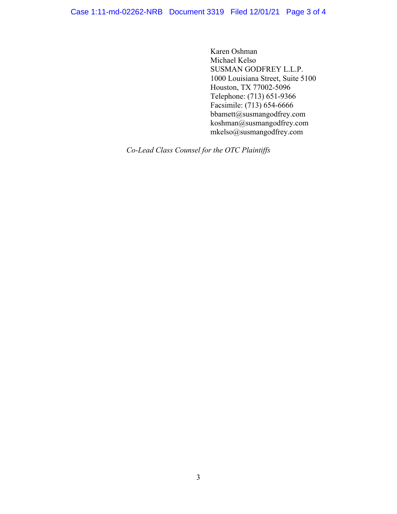Karen Oshman Michael Kelso SUSMAN GODFREY L.L.P. 1000 Louisiana Street, Suite 5100 Houston, TX 77002-5096 Telephone: (713) 651-9366 Facsimile: (713) 654-6666 bbamett@susmangodfrey.com koshman@susmangodfrey.com mkelso@susmangodfrey.com

*Co-Lead Class Counsel for the OTC Plaintiffs*